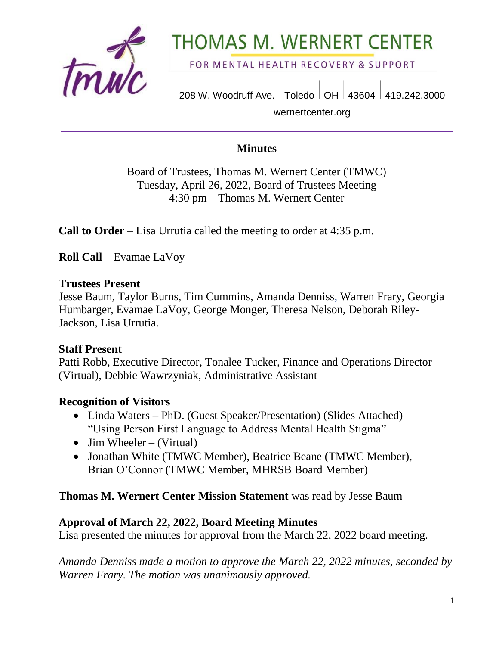

# **THOMAS M. WERNERT CENTER**

FOR MENTAL HEALTH RECOVERY & SUPPORT

208 W. Woodruff Ave. | Toledo | OH | 43604 | 419.242.3000 wernertcenter.org

## **Minutes**

Board of Trustees, Thomas M. Wernert Center (TMWC) Tuesday, April 26, 2022, Board of Trustees Meeting 4:30 pm – Thomas M. Wernert Center

**Call to Order** – Lisa Urrutia called the meeting to order at 4:35 p.m.

**Roll Call** – Evamae LaVoy

#### **Trustees Present**

Jesse Baum, Taylor Burns, Tim Cummins, Amanda Denniss, Warren Frary, Georgia Humbarger, Evamae LaVoy, George Monger, Theresa Nelson, Deborah Riley-Jackson, Lisa Urrutia.

## **Staff Present**

Patti Robb, Executive Director, Tonalee Tucker, Finance and Operations Director (Virtual), Debbie Wawrzyniak, Administrative Assistant

## **Recognition of Visitors**

- Linda Waters PhD. (Guest Speaker/Presentation) (Slides Attached) "Using Person First Language to Address Mental Health Stigma"
- Jim Wheeler (Virtual)
- Jonathan White (TMWC Member), Beatrice Beane (TMWC Member), Brian O'Connor (TMWC Member, MHRSB Board Member)

#### **Thomas M. Wernert Center Mission Statement** was read by Jesse Baum

#### **Approval of March 22, 2022, Board Meeting Minutes**

Lisa presented the minutes for approval from the March 22, 2022 board meeting.

*Amanda Denniss made a motion to approve the March 22, 2022 minutes, seconded by Warren Frary. The motion was unanimously approved.*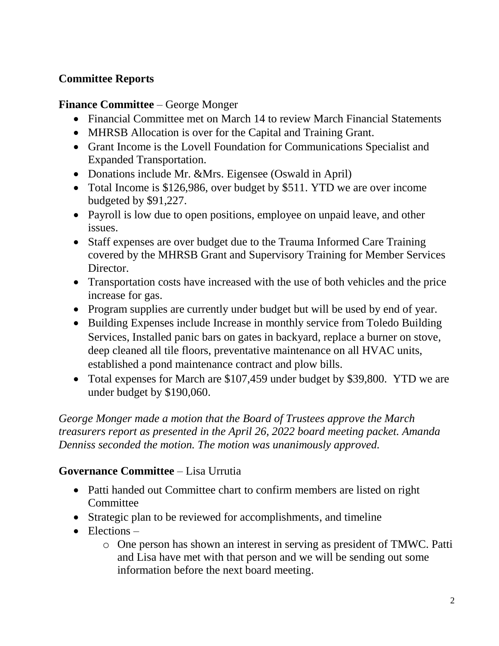# **Committee Reports**

## **Finance Committee** – George Monger

- Financial Committee met on March 14 to review March Financial Statements
- MHRSB Allocation is over for the Capital and Training Grant.
- Grant Income is the Lovell Foundation for Communications Specialist and Expanded Transportation.
- Donations include Mr. &Mrs. Eigensee (Oswald in April)
- Total Income is \$126,986, over budget by \$511. YTD we are over income budgeted by \$91,227.
- Payroll is low due to open positions, employee on unpaid leave, and other issues.
- Staff expenses are over budget due to the Trauma Informed Care Training covered by the MHRSB Grant and Supervisory Training for Member Services Director.
- Transportation costs have increased with the use of both vehicles and the price increase for gas.
- Program supplies are currently under budget but will be used by end of year.
- Building Expenses include Increase in monthly service from Toledo Building Services, Installed panic bars on gates in backyard, replace a burner on stove, deep cleaned all tile floors, preventative maintenance on all HVAC units, established a pond maintenance contract and plow bills.
- Total expenses for March are \$107,459 under budget by \$39,800. YTD we are under budget by \$190,060.

*George Monger made a motion that the Board of Trustees approve the March treasurers report as presented in the April 26, 2022 board meeting packet. Amanda Denniss seconded the motion. The motion was unanimously approved.* 

## **Governance Committee** – Lisa Urrutia

- Patti handed out Committee chart to confirm members are listed on right **Committee**
- Strategic plan to be reviewed for accomplishments, and timeline
- $\bullet$  Elections
	- o One person has shown an interest in serving as president of TMWC. Patti and Lisa have met with that person and we will be sending out some information before the next board meeting.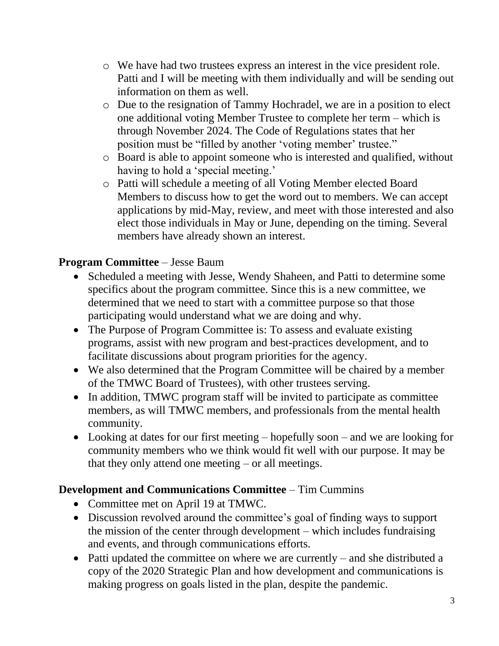- o We have had two trustees express an interest in the vice president role. Patti and I will be meeting with them individually and will be sending out information on them as well.
- o Due to the resignation of Tammy Hochradel, we are in a position to elect one additional voting Member Trustee to complete her term – which is through November 2024. The Code of Regulations states that her position must be "filled by another 'voting member' trustee."
- o Board is able to appoint someone who is interested and qualified, without having to hold a 'special meeting.'
- o Patti will schedule a meeting of all Voting Member elected Board Members to discuss how to get the word out to members. We can accept applications by mid-May, review, and meet with those interested and also elect those individuals in May or June, depending on the timing. Several members have already shown an interest.

# **Program Committee** – Jesse Baum

- Scheduled a meeting with Jesse, Wendy Shaheen, and Patti to determine some specifics about the program committee. Since this is a new committee, we determined that we need to start with a committee purpose so that those participating would understand what we are doing and why.
- The Purpose of Program Committee is: To assess and evaluate existing programs, assist with new program and best-practices development, and to facilitate discussions about program priorities for the agency.
- We also determined that the Program Committee will be chaired by a member of the TMWC Board of Trustees), with other trustees serving.
- In addition, TMWC program staff will be invited to participate as committee members, as will TMWC members, and professionals from the mental health community.
- Looking at dates for our first meeting hopefully soon and we are looking for community members who we think would fit well with our purpose. It may be that they only attend one meeting – or all meetings.

## **Development and Communications Committee** – Tim Cummins

- Committee met on April 19 at TMWC.
- Discussion revolved around the committee's goal of finding ways to support the mission of the center through development – which includes fundraising and events, and through communications efforts.
- Patti updated the committee on where we are currently and she distributed a copy of the 2020 Strategic Plan and how development and communications is making progress on goals listed in the plan, despite the pandemic.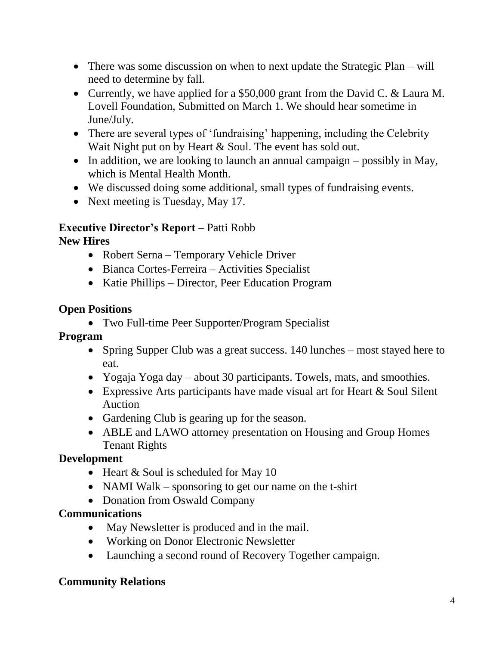- There was some discussion on when to next update the Strategic Plan will need to determine by fall.
- Currently, we have applied for a \$50,000 grant from the David C. & Laura M. Lovell Foundation, Submitted on March 1. We should hear sometime in June/July.
- There are several types of 'fundraising' happening, including the Celebrity Wait Night put on by Heart & Soul. The event has sold out.
- In addition, we are looking to launch an annual campaign  $-$  possibly in May, which is Mental Health Month.
- We discussed doing some additional, small types of fundraising events.
- Next meeting is Tuesday, May 17.

# **Executive Director's Report** – Patti Robb

# **New Hires**

- Robert Serna Temporary Vehicle Driver
- Bianca Cortes-Ferreira Activities Specialist
- Katie Phillips Director, Peer Education Program

## **Open Positions**

Two Full-time Peer Supporter/Program Specialist

#### **Program**

- Spring Supper Club was a great success. 140 lunches most stayed here to eat.
- Yogaja Yoga day about 30 participants. Towels, mats, and smoothies.
- Expressive Arts participants have made visual art for Heart & Soul Silent Auction
- Gardening Club is gearing up for the season.
- ABLE and LAWO attorney presentation on Housing and Group Homes Tenant Rights

## **Development**

- $\bullet$  Heart & Soul is scheduled for May 10
- NAMI Walk sponsoring to get our name on the t-shirt
- Donation from Oswald Company

## **Communications**

- May Newsletter is produced and in the mail.
- Working on Donor Electronic Newsletter
- Launching a second round of Recovery Together campaign.

## **Community Relations**